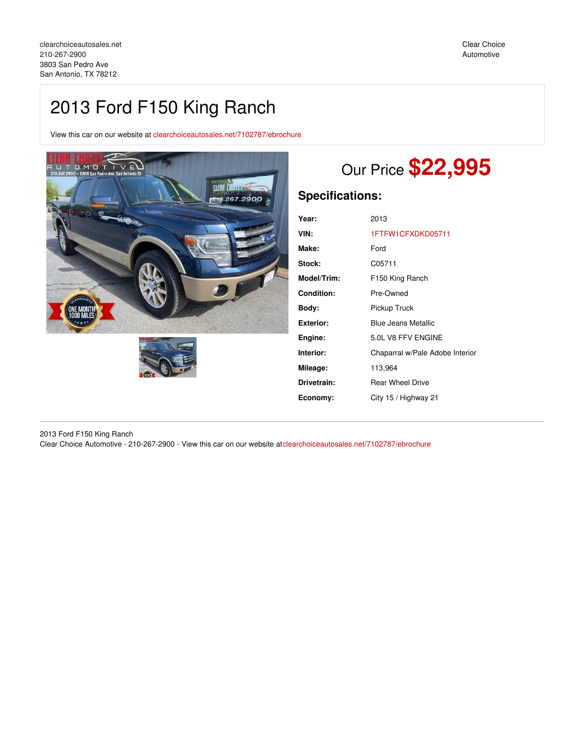# 2013 Ford F150 King Ranch

View this car on our website at [clearchoiceautosales.net/7102787/ebrochure](https://clearchoiceautosales.net/vehicle/7102787/2013-ford-f150-king-ranch-san-antonio-tx-78212/7102787/ebrochure)





# Our Price **\$22,995**

# **Specifications:**

| Year:       | 2013                            |
|-------------|---------------------------------|
| VIN:        | 1FTFW1CFXDKD05711               |
| Make:       | Ford                            |
| Stock:      | C05711                          |
| Model/Trim: | F150 King Ranch                 |
| Condition:  | Pre-Owned                       |
| Bodv:       | Pickup Truck                    |
| Exterior:   | <b>Blue Jeans Metallic</b>      |
| Engine:     | 5.0L V8 FFV ENGINE              |
| Interior:   | Chaparral w/Pale Adobe Interior |
| Mileage:    | 113,964                         |
| Drivetrain: | <b>Rear Wheel Drive</b>         |
| Economy:    | City 15 / Highway 21            |

2013 Ford F150 King Ranch Clear Choice Automotive - 210-267-2900 - View this car on our website at[clearchoiceautosales.net/7102787/ebrochure](https://clearchoiceautosales.net/vehicle/7102787/2013-ford-f150-king-ranch-san-antonio-tx-78212/7102787/ebrochure)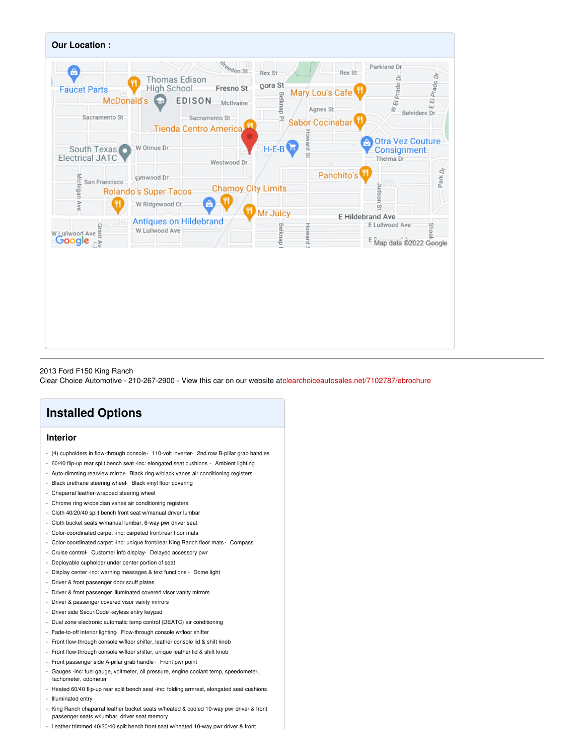

#### 2013 Ford F150 King Ranch

Clear Choice Automotive - 210-267-2900 - View this car on our website at[clearchoiceautosales.net/7102787/ebrochure](https://clearchoiceautosales.net/vehicle/7102787/2013-ford-f150-king-ranch-san-antonio-tx-78212/7102787/ebrochure)

## **Installed Options**

## **Interior**

- (4) cupholders in flow-through console- 110-volt inverter- 2nd row B-pillar grab handles
- 60/40 flip-up rear split bench seat -inc: elongated seat cushions Ambient lighting
- Auto-dimming rearview mirror- Black ring w/black vanes air conditioning registers
- Black urethane steering wheel- Black vinyl floor covering
- Chaparral leather-wrapped steering wheel
- Chrome ring w/obsidian vanes air conditioning registers
- Cloth 40/20/40 split bench front seat w/manual driver lumbar
- Cloth bucket seats w/manual lumbar, 6-way pwr driver seat
- Color-coordinated carpet -inc: carpeted front/rear floor mats
- Color-coordinated carpet -inc: unique front/rear King Ranch floor mats Compass
- Cruise control- Customer info display- Delayed accessory pwr
- Deployable cupholder under center portion of seat
- Display center -inc: warning messages & text functions Dome light
- Driver & front passenger door scuff plates
- Driver & front passenger illuminated covered visor vanity mirrors
- Driver & passenger covered visor vanity mirrors
- Driver side SecuriCode keyless entry keypad
- Dual zone electronic automatic temp control (DEATC) air conditioning
- Fade-to-off interior lighting Flow-through console w/floor shifter
- Front flow-through console w/floor shifter, leather console lid & shift knob
- Front flow-through console w/floor shifter, unique leather lid & shift knob
- Front passenger side A-pillar grab handle- Front pwr point
- Gauges -inc: fuel gauge, voltmeter, oil pressure, engine coolant temp, speedometer, tachometer, odometer
- Heated 60/40 flip-up rear split bench seat -inc: folding armrest, elongated seat cushions - Illuminated entry
- King Ranch chaparral leather bucket seats w/heated & cooled 10-way pwr driver & front passenger seats w/lumbar, driver seat memory
- Leather trimmed 40/20/40 split bench front seat w/heated 10-wav pwr driver & front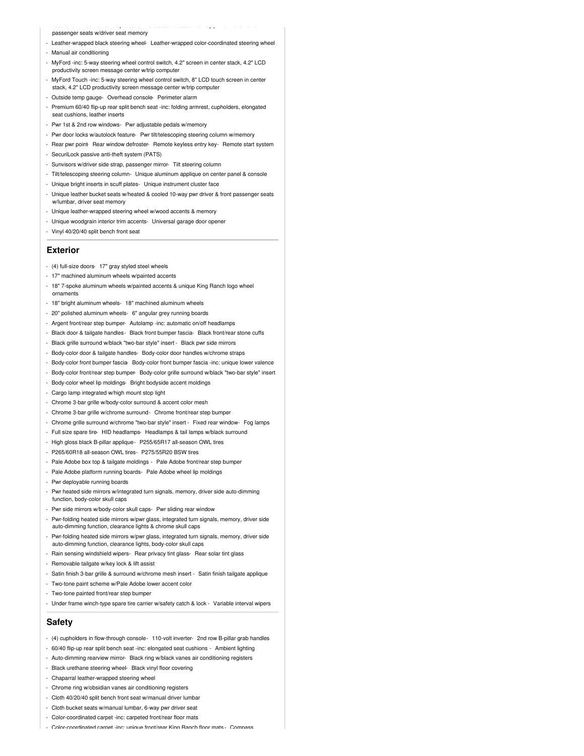#### passenger seats w/driver seat memory

- Leather-wrapped black steering wheel- Leather-wrapped color-coordinated steering wheel
- Manual air conditioning
- MyFord -inc: 5-way steering wheel control switch, 4.2" screen in center stack, 4.2" LCD productivity screen message center w/trip compute

- Leather trimmed 40/20/40 split bench front seat w/heated 10-way pwr driver & front

- MyFord Touch -inc: 5-way steering wheel control switch, 8" LCD touch screen in center stack, 4.2" LCD productivity screen message center w/trip computer
- Outside temp gauge- Overhead console- Perimeter alarm
- Premium 60/40 flip-up rear split bench seat -inc: folding armrest, cupholders, elongated seat cushions, leather inserts
- Pwr 1st & 2nd row windows- Pwr adjustable pedals w/memory
- Pwr door locks w/autolock feature- Pwr tilt/telescoping steering column w/memory
- Rear pwr point- Rear window defroster- Remote keyless entry key- Remote start system
- SecuriLock passive anti-theft system (PATS)
- Sunvisors w/driver side strap, passenger mirror- Tilt steering column
- Tilt/telescoping steering column- Unique aluminum applique on center panel & console
- Unique bright inserts in scuff plates- Unique instrument cluster face
- Unique leather bucket seats w/heated & cooled 10-way pwr driver & front passenger seats mbar, driver seat memory
- Unique leather-wrapped steering wheel w/wood accents & memory
- Unique woodgrain interior trim accents- Universal garage door opener
- Vinyl 40/20/40 split bench front seat

#### **Exterior**

- (4) full-size doors- 17" gray styled steel wheels
- 17" machined aluminum wheels w/painted accents
- 18" 7-spoke aluminum wheels w/painted accents & unique King Ranch logo wheel ornaments
- 18" bright aluminum wheels- 18" machined aluminum wheels
- 20" polished aluminum wheels- 6" angular grey running boards
- Argent front/rear step bumper- Autolamp -inc: automatic on/off headlamps
- Black door & tailgate handles- Black front bumper fascia- Black front/rear stone cuffs
- Black grille surround w/black "two-bar style" insert Black pwr side mirrors
- Body-color door & tailgate handles- Body-color door handles w/chrome straps
- Body-color front bumper fascia- Body-color front bumper fascia -inc: unique lower valence
- Body-color front/rear step bumper- Body-color grille surround w/black "two-bar style" insert
- Body-color wheel lip moldings- Bright bodyside accent moldings
- Cargo lamp integrated w/high mount stop light
- Chrome 3-bar grille w/body-color surround & accent color mesh
- Chrome 3-bar grille w/chrome surround- Chrome front/rear step bumper
- Chrome grille surround w/chrome "two-bar style" insert Fixed rear window- Fog lamps
- Full size spare tire- HID headlamps- Headlamps & tail lamps w/black surround
- High gloss black B-pillar applique P255/65R17 all-season OWL tires
- P265/60R18 all-season OWL tires- P275/55R20 BSW tires
- Pale Adobe box top & tailgate moldings Pale Adobe front/rear step bumper
- Pale Adobe platform running boards- Pale Adobe wheel lip moldings
- Pwr deployable running boards
- Pwr heated side mirrors w/integrated turn signals, memory, driver side auto-dimming function, body-color skull caps
- Pwr side mirrors w/body-color skull caps- Pwr sliding rear window
- Pwr-folding heated side mirrors w/pwr glass, integrated turn signals, memory, driver side auto-dimming function, clearance lights & chrome skull caps
- Pwr-folding heated side mirrors w/pwr glass, integrated turn signals, memory, driver side auto-dimming function, clearance lights, body-color skull caps
- Rain sensing windshield wipers- Rear privacy tint glass- Rear solar tint glass
- Removable tailgate w/key lock & lift assist
- Satin finish 3-bar grille & surround w/chrome mesh insert Satin finish tailgate applique
- Two-tone paint scheme w/Pale Adobe lower accent color
- Two-tone painted front/rear step bumper
- Under frame winch-type spare tire carrier w/safety catch & lock Variable interval wipers

### **Safety**

- (4) cupholders in flow-through console- 110-volt inverter- 2nd row B-pillar grab handles
- 60/40 flip-up rear split bench seat -inc: elongated seat cushions Ambient lighting
- Auto-dimming rearview mirror- Black ring w/black vanes air conditioning registers
- Black urethane steering wheel- Black vinyl floor covering
- Chaparral leather-wrapped steering wheel
- Chrome ring w/obsidian vanes air conditioning registers
- Cloth 40/20/40 split bench front seat w/manual driver lumbar
- Cloth bucket seats w/manual lumbar, 6-way pwr driver seat
- Color-coordinated carpet -inc: carpeted front/rear floor mats
- Color-coordinated carpet -inc: unique front/rear King Ranch floor mats Compass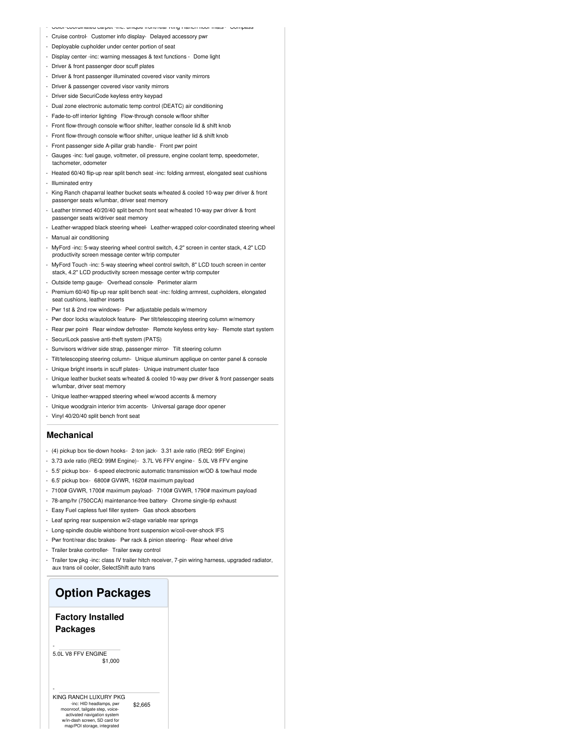- Color-coordinated carpet -inc: unique front/rear King Ranch floor mats Compass
- Cruise control- Customer info display- Delayed accessory pwr
- Deployable cupholder under center portion of seat
- Display center -inc: warning messages & text functions Dome light
- Driver & front passenger door scuff plates
- Driver & front passenger illuminated covered visor vanity mirrors
- Driver & passenger covered visor vanity mirrors
- Driver side SecuriCode keyless entry keypad
- Dual zone electronic automatic temp control (DEATC) air conditioning
- Fade-to-off interior lighting Flow-through console w/floor shifter
- Front flow-through console w/floor shifter, leather console lid & shift knob
- Front flow-through console w/floor shifter, unique leather lid & shift knob
- Front passenger side A-pillar grab handle- Front pwr point
- Gauges -inc: fuel gauge, voltmeter, oil pressure, engine coolant temp, speedometer, tachometer, odometer
- Heated 60/40 flip-up rear split bench seat -inc: folding armrest, elongated seat cushions
- Illuminated entry
- King Ranch chaparral leather bucket seats w/heated & cooled 10-way pwr driver & front passenger seats w/lumbar, driver seat memory
- Leather trimmed 40/20/40 split bench front seat w/heated 10-way pwr driver & front passenger seats w/driver seat memory
- Leather-wrapped black steering wheel- Leather-wrapped color-coordinated steering wheel
- Manual air conditioning
- MyFord -inc: 5-way steering wheel control switch, 4.2" screen in center stack, 4.2" LCD productivity screen message center w/trip computer
- MyFord Touch -inc: 5-way steering wheel control switch, 8" LCD touch screen in center stack, 4.2" LCD productivity screen message center w/trip computer
- Outside temp gauge- Overhead console- Perimeter alarm
- Premium 60/40 flip-up rear split bench seat -inc: folding armrest, cupholders, elongated seat cushions, leather inserts
- Pwr 1st & 2nd row windows- Pwr adjustable pedals w/memory
- Pwr door locks w/autolock feature- Pwr tilt/telescoping steering column w/memory
- Rear pwr point- Rear window defroster- Remote keyless entry key- Remote start system
- SecuriLock passive anti-theft system (PATS)
- Sunvisors w/driver side strap, passenger mirror- Tilt steering column
- Tilt/telescoping steering column- Unique aluminum applique on center panel & console
- Unique bright inserts in scuff plates- Unique instrument cluster face
- Unique leather bucket seats w/heated & cooled 10-way pwr driver & front passenger seats w/lumbar, driver seat memory
- Unique leather-wrapped steering wheel w/wood accents & memory
- Unique woodgrain interior trim accents- Universal garage door opener
- Vinyl 40/20/40 split bench front seat

#### **Mechanical**

- (4) pickup box tie-down hooks- 2-ton jack- 3.31 axle ratio (REQ: 99F Engine)
- 3.73 axle ratio (REQ: 99M Engine)- 3.7L V6 FFV engine- 5.0L V8 FFV engine
- 5.5' pickup box- 6-speed electronic automatic transmission w/OD & tow/haul mode
- 6.5' pickup box- 6800# GVWR, 1620# maximum payload
- 7100# GVWR, 1700# maximum payload- 7100# GVWR, 1790# maximum payload
- 78-amp/hr (750CCA) maintenance-free battery- Chrome single-tip exhaust
- Easy Fuel capless fuel filler system- Gas shock absorbers
- Leaf spring rear suspension w/2-stage variable rear springs
- Long-spindle double wishbone front suspension w/coil-over-shock IFS
- Pwr front/rear disc brakes- Pwr rack & pinion steering- Rear wheel drive
- Trailer brake controller- Trailer sway control
- Trailer tow pkg -inc: class IV trailer hitch receiver, 7-pin wiring harness, upgraded radiator, aux trans oil cooler, SelectShift auto trans

## **Option Packages**

## **Factory Installed Packages**

\$1,000 5.0L V8 FFV ENGINE

-

-

\$2,665 KING RANCH LUXURY PKG -inc: HID headlamps, pwr moonroof, tailgate step, voiceactivated navigation system w/in-dash screen, SD card for map/POI storage, integrated